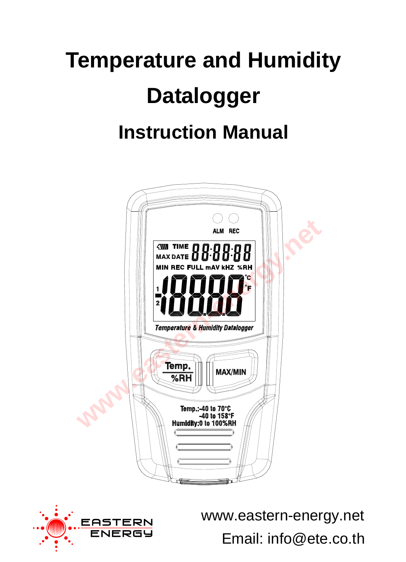# **Temperature and Humidity Datalogger Instruction Manual**





Email: info@ete.co.th www.eastern-energy.net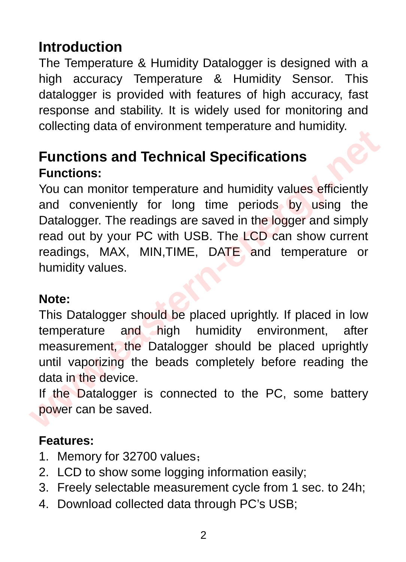# **Introduction**

The Temperature & Humidity Datalogger is designed with a high accuracy Temperature & Humidity Sensor. This datalogger is provided with features of high accuracy, fast response and stability. It is widely used for monitoring and collecting data of environment temperature and humidity.

# **Functions and Technical Specifications Functions:**

You can monitor temperature and humidity values efficiently and conveniently for long time periods by using the Datalogger. The readings are saved in the logger and simply read out by your PC with USB. The LCD can show current readings, MAX, MIN, TIME, DATE and temperature or humidity values. **Eunctions and Technical Specifications**<br>
Functions:<br>
You can monitor temperature and humidity values efficiently<br>
and conveniently for long time periods by using the<br>
Datalogger. The readings are saved in the logger and s

#### **Note:**

This Datalogger should be placed uprightly. If placed in low temperature and high humidity environment, after measurement, the Datalogger should be placed uprightly until vaporizing the beads completely before reading the data in the device.

If the Datalogger is connected to the PC, some battery power can be saved.

#### **Features:**

- 1. Memory for 32700 values;
- 2. LCD to show some logging information easily;
- 3. Freely selectable measurement cycle from 1 sec. to 24h;
- 4. Download collected data through PC's USB;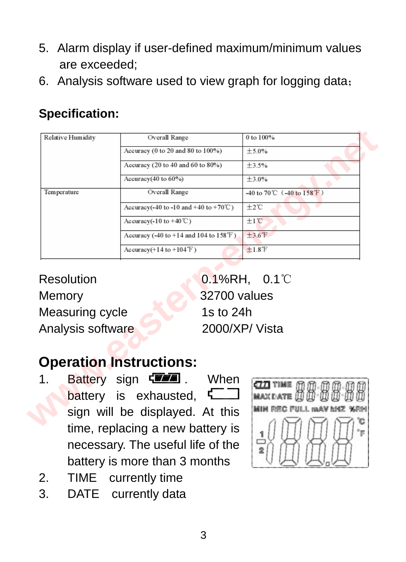- 5. Alarm display if user-defined maximum/minimum values are exceeded;
- 6. Analysis software used to view graph for logging data;

## **Specification:**

| Relative Humidity         | Overall Range                                                                 | 0 to 100%                                              |  |
|---------------------------|-------------------------------------------------------------------------------|--------------------------------------------------------|--|
|                           | Accuracy (0 to 20 and 80 to 100%)                                             | $+5.0%$                                                |  |
|                           | Accuracy (20 to 40 and 60 to 80%)                                             | $+3.5%$                                                |  |
|                           | Accuracy $(40 \text{ to } 60\%)$                                              | $+3.0%$                                                |  |
| Temperature               | Overall Range                                                                 | -40 to 70 °C $(-40 \text{ to } 158 \text{ T})$<br>±2°C |  |
|                           | Accuracy(-40 to -10 and +40 to +70 $°C$ )                                     |                                                        |  |
|                           | Accuracy( $-10$ to $+40^{\circ}$ C)                                           | $±1$ <sup><math>°C</math></sup>                        |  |
|                           | Accuracy $(-40 \text{ to } +14 \text{ and } 104 \text{ to } 158 \text{ T})$   | $+3.6$ <sup>°</sup> F                                  |  |
|                           | $Accuracy(+14 to +104\mathbb{F})$                                             | $+1.8$ <sup>°</sup> F                                  |  |
| Memory<br>Measuring cycle | 32700 values<br>1s to 24h                                                     |                                                        |  |
| Analysis software         |                                                                               | 2000/XP/Vista                                          |  |
|                           |                                                                               |                                                        |  |
|                           | <b>Operation Instructions:</b>                                                |                                                        |  |
| 1.                        | <b>Battery sign <weee< b=""> .<br/>When<br/>battery is exhausted,</weee<></b> | ctti time<br><b>MAX DATE</b>                           |  |
|                           | sign will be displayed. At this                                               | MIN REC FULL MAY MAY %RM                               |  |

# **Operation Instructions:**

- 1. Battery sign  $\sqrt{2}$  . When battery is exhausted. sign will be displayed. At this time, replacing a new battery is necessary. The useful life of the battery is more than 3 months
- 2. TIME currently time
- 3. DATE currently data

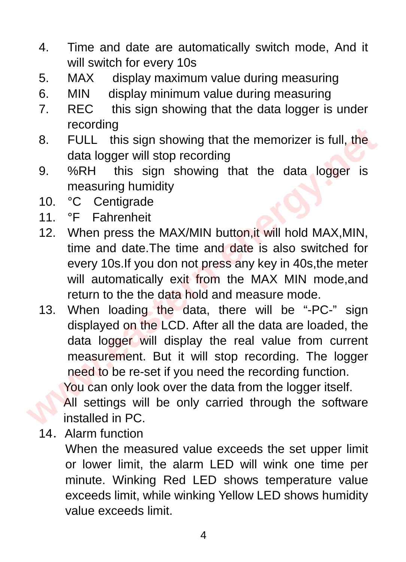- 4. Time and date are automatically switch mode, And it will switch for every 10s
- 5. MAX display maximum value during measuring
- 6. MIN display minimum value during measuring
- 7. REC this sign showing that the data logger is under recording
- 8. FULL this sign showing that the memorizer is full, the data logger will stop recording
- 9. %RH this sign showing that the data logger is measuring humidity
- 10. °C Centigrade
- 11. °F Fahrenheit
- 12. When press the MAX/MIN button,it will hold MAX,MIN, time and date.The time and date is also switched for every 10s.If you don not press any key in 40s,the meter will automatically exit from the MAX MIN mode, and return to the the data hold and measure mode.
- 13. When loading the data, there will be "-PC-" sign displayed on the LCD. After all the data are loaded, the data logger will display the real value from current measurement. But it will stop recording. The logger need to be re-set if you need the recording function. You can only look over the data from the logger itself. **ECOLUT THE STATE STATE STATE STATE STATE STATE STATE STATE ON SATE ONCOURT AND SET ON SATE OF STATE STATE STATE STATE STATE STATE STATE STATE STATE STATE STATE STATE STATE STATE STATE STATE STATE STATE STATE STATE STATE S**

All settings will be only carried through the software installed in PC.

14. Alarm function

When the measured value exceeds the set upper limit or lower limit, the alarm LED will wink one time per minute. Winking Red LED shows temperature value exceeds limit, while winking Yellow LED shows humidity value exceeds limit.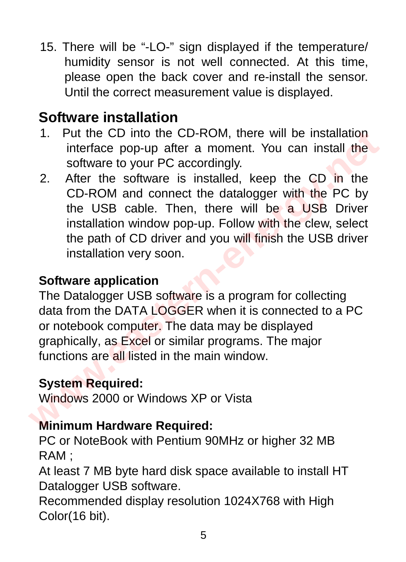15. There will be "-LO-" sign displayed if the temperature/ humidity sensor is not well connected. At this time, please open the back cover and re-install the sensor. Until the correct measurement value is displayed.

# **Software installation**

- 1. Put the CD into the CD-ROM, there will be installation interface pop-up after a moment. You can install the software to your PC accordingly.
- 2. After the software is installed, keep the CD in the CD-ROM and connect the datalogger with the PC by the USB cable. Then, there will be a USB Driver installation window pop-up. Follow with the clew, select the path of CD driver and you will finish the USB driver installation very soon. 1. Put the CD into the CD-ROM, there will be installation<br>interface pop-up after a moment. You can install the<br>software to your PC accordingly.<br>2. After the software is installed, keep the CD in the<br>CD-ROM and connect the

### **Software application**

The Datalogger USB software is a program for collecting data from the DATA LOGGER when it is connected to a PC or notebook computer. The data may be displayed graphically, as Excel or similar programs. The major functions are all listed in the main window.

## **System Required:**

Windows 2000 or Windows XP or Vista

## **Minimum Hardware Required:**

PC or NoteBook with Pentium 90MHz or higher 32 MB RAM ;

At least 7 MB byte hard disk space available to install HT Datalogger USB software.

Recommended display resolution 1024X768 with High Color(16 bit).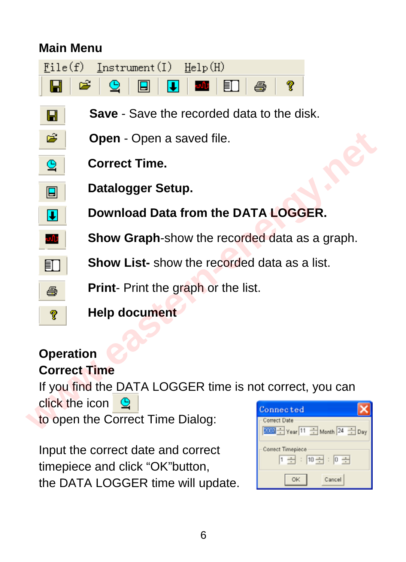## **Main Menu**

H.

| $File(f)$ Instrument(I) $Hello(H)$ |  |
|------------------------------------|--|
|                                    |  |

- **Save** Save the recorded data to the disk.
- **Open** Open a saved file.
- **Correct Time.**
- **Datalogger Setup.**
	- **Download Data from the DATA LOGGER.** 
		- **Show Graph**-show the recorded data as a graph.
		- **Show List-** show the recorded data as a list.
		- **Print** Print the graph or the list.
- 
- **Help document**

#### **Operation Correct Time**

If you find the DATA LOGGER time is not correct, you can click the icon  $\Theta$ to open the Correct Time Dialog: **example 12 Open - Open a saved file.**<br> **Correct Time.**<br>
Datalogger Setup.<br>
Download Data from the DATA LOGGER.<br>
Show Graph-show the recorded data as a graph.<br>
Show List-show the recorded data as a list.<br>
Print- Print the

Input the correct date and correct timepiece and click "OK"button, the DATA LOGGER time will update.

| Connected                            |  |  |  |  |
|--------------------------------------|--|--|--|--|
| Correct Date<br>Vear 11 Month 24 Day |  |  |  |  |
| Correct Timepiece<br>$1 + 10 + 0 +$  |  |  |  |  |
| Cancel                               |  |  |  |  |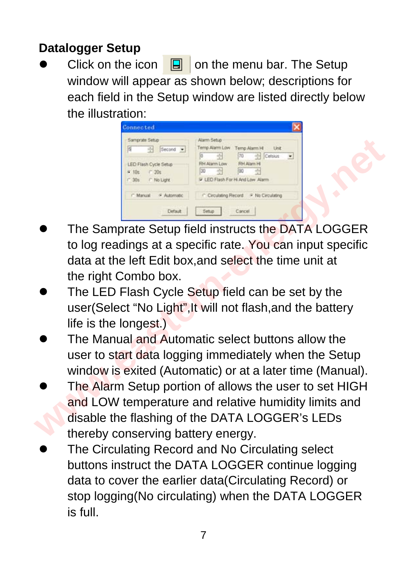## **Datalogger Setup**

Click on the icon  $\boxed{a}$  on the menu bar. The Setup window will appear as shown below; descriptions for each field in the Setup window are listed directly below the illustration:

| Samprate Setup                                               | Alarm Setup                                                                                                                                          |
|--------------------------------------------------------------|------------------------------------------------------------------------------------------------------------------------------------------------------|
| 百<br>곡<br>Second -                                           | Temp Alarm Low<br>Temp Alarm H Unit                                                                                                                  |
| LED Flash Cycle Setup<br>$-20s$<br>6.105<br>F 30s F No Light | 핅<br>$70 -$<br>$\leftarrow$ Celsius<br>lo<br>٠<br><b>RH Atam H</b><br><b>RH Alarm Low</b><br>G.<br>쥠<br>GD<br>90<br>P LED Flash For Hi And Low Alarm |
| / Marxual<br># Automatic                                     | C Circulating Record F No Circulating                                                                                                                |

- The Samprate Setup field instructs the DATA LOGGER to log readings at a specific rate. You can input specific data at the left Edit box,and select the time unit at the right Combo box. **Example the consequence of the consequence of the sample of the sample of the consequence of the consequence of the consequence of the consequence of the consequence of the term in the left Edit box, and select the time u** 
	- The LED Flash Cycle Setup field can be set by the user(Select "No Light",It will not flash,and the battery life is the longest.)
	- The Manual and Automatic select buttons allow the user to start data logging immediately when the Setup window is exited (Automatic) or at a later time (Manual).
- The Alarm Setup portion of allows the user to set HIGH and LOW temperature and relative humidity limits and disable the flashing of the DATA LOGGER's LEDs thereby conserving battery energy.
- The Circulating Record and No Circulating select buttons instruct the DATA LOGGER continue logging data to cover the earlier data(Circulating Record) or stop logging(No circulating) when the DATA LOGGER is full.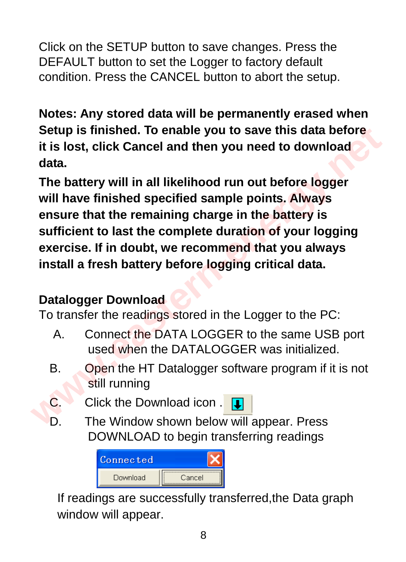Click on the SETUP button to save changes. Press the DEFAULT button to set the Logger to factory default condition. Press the CANCEL button to abort the setup.

**Notes: Any stored data will be permanently erased when Setup is finished. To enable you to save this data before it is lost, click Cancel and then you need to download data.** 

**The battery will in all likelihood run out before logger will have finished specified sample points. Always ensure that the remaining charge in the battery is sufficient to last the complete duration of your logging exercise. If in doubt, we recommend that you always install a fresh battery before logging critical data.**  Setup is finished. To enable you to save this data before<br>it is lost, click Cancel and then you need to download<br>data.<br>The battery will in all likelihood run out before logger<br>will have finished specified sample points. Al

## **Datalogger Download**

To transfer the readings stored in the Logger to the PC:

- A. Connect the DATA LOGGER to the same USB port used when the DATALOGGER was initialized.
- B. Open the HT Datalogger software program if it is not still running
- C. Click the Download icon .
- D. The Window shown below will appear. Press DOWNLOAD to begin transferring readings



If readings are successfully transferred,the Data graph window will appear.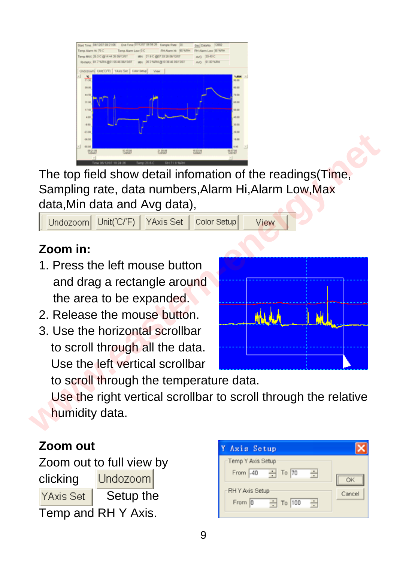

The top field show detail infomation of the readings(Time, Sampling rate, data numbers,Alarm Hi,Alarm Low,Max data,Min data and Avg data),

## **Zoom in:**

- 1. Press the left mouse button and drag a rectangle around the area to be expanded.
- 2. Release the mouse button.
- 3. Use the horizontal scrollbar to scroll through all the data. Use the left vertical scrollbar

The top field show detail information of the readings(Time,<br>Sampling rate, data numbers, Alarm Hi, Alarm Low, Max<br>data, Min data and Avg data),<br>Dindozoom Unit(C/F) YAxis Set | Color Setup<br> **Your Set Life Shows Set | Color** 

to scroll through the temperature data.

 Use the right vertical scrollbar to scroll through the relative humidity data.

#### **Zoom out**

Zoom out to full view by Undozoom clicking YAxis Set | Setup the Temp and RH Y Axis.

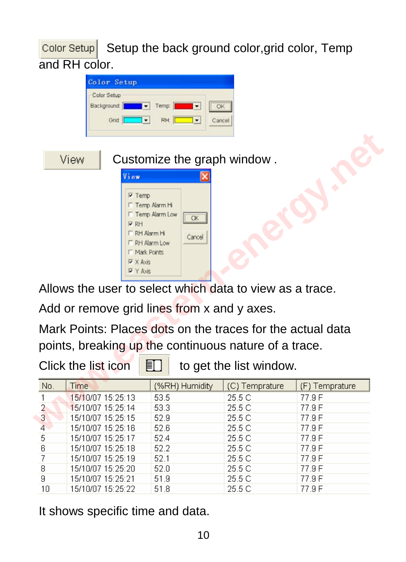$\overline{\text{Color Setup}}$  Setup the back ground color, grid color, Temp and RH color.



Allows the user to select which data to view as a trace.

Add or remove grid lines from x and y axes.

Mark Points: Places dots on the traces for the actual data points, breaking up the continuous nature of a trace.

Click the list icon  $\boxed{\mathbb{E}}$  to get the list window.

| No.            | <b>Time</b>       | (%RH) Humidity | (C) Temprature | (F) Temprature |  |  |
|----------------|-------------------|----------------|----------------|----------------|--|--|
|                | 15/10/07 15:25:13 | 53.5           | 25.5 C         | 77.9 F         |  |  |
| $\overline{2}$ | 15/10/07 15:25:14 | 53.3           | 25.5 C         | 77.9 F         |  |  |
| 3              | 15/10/07 15:25:15 | 52.9           | 25.5 C         | 77.9 F         |  |  |
| $\overline{4}$ | 15/10/07 15:25:16 | 52.6           | 25.5 C         | 77.9 F         |  |  |
| 5              | 15/10/07 15:25:17 | 524            | 25.5 C         | 77.9 F         |  |  |
| 6              | 15/10/07 15:25:18 | 52.2           | 25.5 C         | 77.9 F         |  |  |
|                | 15/10/07 15:25:19 | 52.1           | 25.5 C         | 77.9 F         |  |  |
| 8              | 15/10/07 15:25:20 | 52.0           | 25.5 C         | 77.9 F         |  |  |
| 9              | 15/10/07 15:25:21 | 51.9           | 25.5 C         | 77.9 F         |  |  |
| 10             | 15/10/07 15:25:22 | 51.8           | 25.5 C         | 77.9 F         |  |  |

It shows specific time and data.